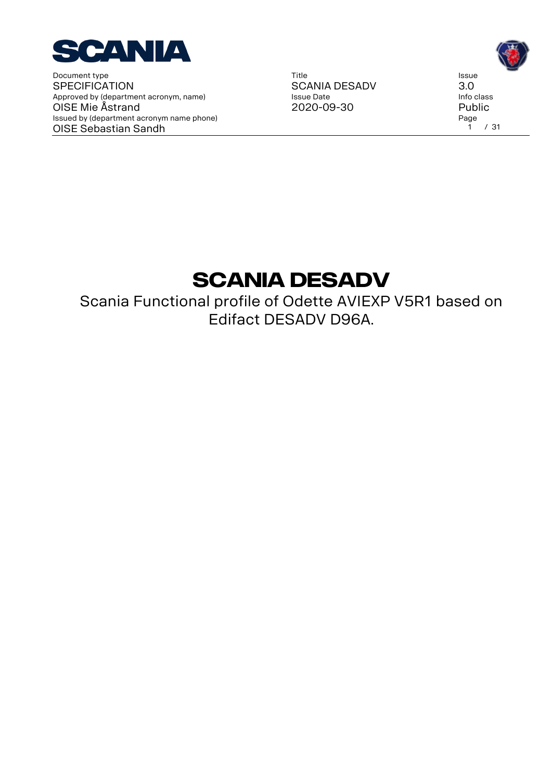

Title SCANIA DESADV Issue Date 2020-09-30



# **SCANIA DESADV**

Scania Functional profile of Odette AVIEXP V5R1 based on Edifact DESADV D96A.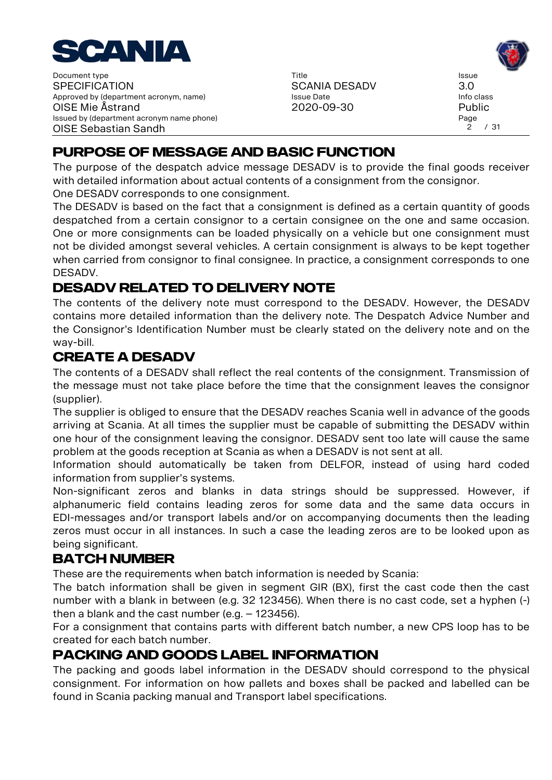

Title SCANIA DESADV Issue Date 2020-09-30

Issue 3.0 Info class Public Page  $2^{7}$  / 31

# **PURPOSE OF MESSAGE AND BASIC FUNCTION**

The purpose of the despatch advice message DESADV is to provide the final goods receiver with detailed information about actual contents of a consignment from the consignor.

One DESADV corresponds to one consignment.

The DESADV is based on the fact that a consignment is defined as a certain quantity of goods despatched from a certain consignor to a certain consignee on the one and same occasion. One or more consignments can be loaded physically on a vehicle but one consignment must not be divided amongst several vehicles. A certain consignment is always to be kept together when carried from consignor to final consignee. In practice, a consignment corresponds to one DESADV.

# **DESADV RELATED TO DELIVERY NOTE**

The contents of the delivery note must correspond to the DESADV. However, the DESADV contains more detailed information than the delivery note. The Despatch Advice Number and the Consignor's Identification Number must be clearly stated on the delivery note and on the way-bill.

### **CREATE A DESADV**

The contents of a DESADV shall reflect the real contents of the consignment. Transmission of the message must not take place before the time that the consignment leaves the consignor (supplier).

The supplier is obliged to ensure that the DESADV reaches Scania well in advance of the goods arriving at Scania. At all times the supplier must be capable of submitting the DESADV within one hour of the consignment leaving the consignor. DESADV sent too late will cause the same problem at the goods reception at Scania as when a DESADV is not sent at all.

Information should automatically be taken from DELFOR, instead of using hard coded information from supplier's systems.

Non-significant zeros and blanks in data strings should be suppressed. However, if alphanumeric field contains leading zeros for some data and the same data occurs in EDI-messages and/or transport labels and/or on accompanying documents then the leading zeros must occur in all instances. In such a case the leading zeros are to be looked upon as being significant.

## **BATCH NUMBER**

These are the requirements when batch information is needed by Scania:

The batch information shall be given in segment GIR (BX), first the cast code then the cast number with a blank in between (e.g. 32 123456). When there is no cast code, set a hyphen (-) then a blank and the cast number (e.g. – 123456).

For a consignment that contains parts with different batch number, a new CPS loop has to be created for each batch number.

## **PACKING AND GOODS LABEL INFORMATION**

The packing and goods label information in the DESADV should correspond to the physical consignment. For information on how pallets and boxes shall be packed and labelled can be found in Scania packing manual and Transport label specifications.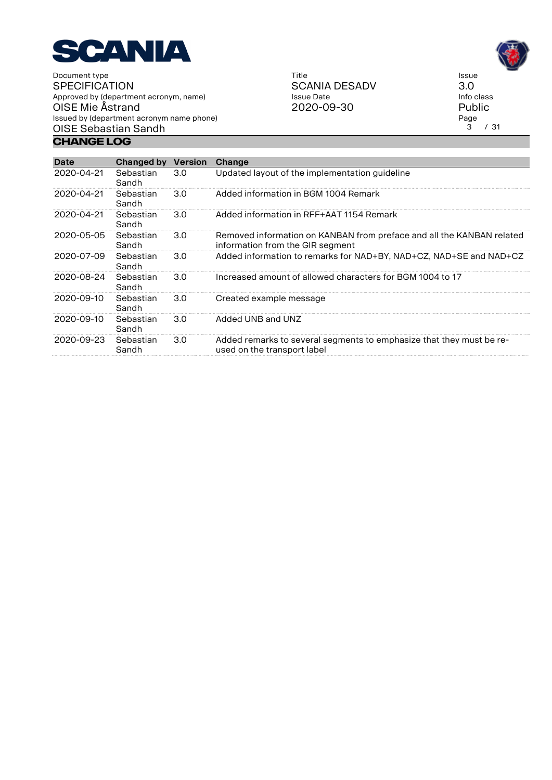

**Change Log**

Title SCANIA DESADV Issue Date 2020-09-30

Issue 3.0 Info class Public Page<br>3  $/31$ 

| Date       | Changed by         | <b>Version</b> | Change                                                                                                    |
|------------|--------------------|----------------|-----------------------------------------------------------------------------------------------------------|
| 2020-04-21 | Sebastian<br>Sandh | 3.0            | Updated layout of the implementation guideline                                                            |
| 2020-04-21 | Sebastian<br>Sandh | 3.0            | Added information in BGM 1004 Remark                                                                      |
| 2020-04-21 | Sebastian<br>Sandh | 3.0            | Added information in RFF+AAT 1154 Remark                                                                  |
| 2020-05-05 | Sebastian<br>Sandh | 3.0            | Removed information on KANBAN from preface and all the KANBAN related<br>information from the GIR segment |
| 2020-07-09 | Sebastian<br>Sandh | 3.0            | Added information to remarks for NAD+BY, NAD+CZ, NAD+SE and NAD+CZ                                        |
| 2020-08-24 | Sebastian<br>Sandh | 3.0            | Increased amount of allowed characters for BGM 1004 to 17                                                 |
| 2020-09-10 | Sebastian<br>Sandh | 3.0            | Created example message                                                                                   |
| 2020-09-10 | Sebastian<br>Sandh | 3.0            | Added UNB and UNZ                                                                                         |
| 2020-09-23 | Sebastian<br>Sandh | 3.0            | Added remarks to several segments to emphasize that they must be re-<br>used on the transport label       |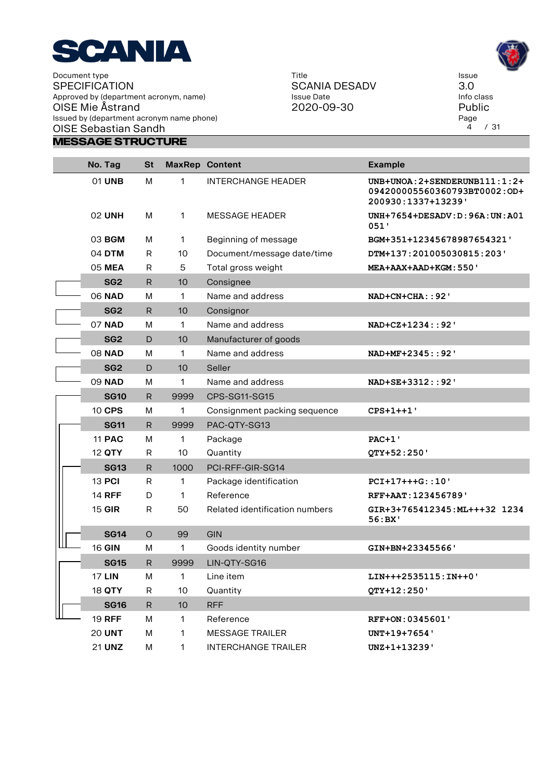

Title SCANIA DESADV Issue Date 2020-09-30

Issue 3.0 Info class Public Page<br>4  $/31$ 

| No. Tag         | St      |                 | <b>MaxRep Content</b>          | <b>Example</b>                                                                      |
|-----------------|---------|-----------------|--------------------------------|-------------------------------------------------------------------------------------|
| 01 UNB          | M       | 1               | <b>INTERCHANGE HEADER</b>      | UNB+UNOA: 2+SENDERUNB111:1:2+<br>094200005560360793BT0002:OD+<br>200930:1337+13239' |
| <b>02 UNH</b>   | M       | 1               | <b>MESSAGE HEADER</b>          | $UNH+7654+DESADV: D: 96A: UN: A01$<br>051'                                          |
| 03 BGM          | М       | $\mathbf{1}$    | Beginning of message           | BGM+351+12345678987654321'                                                          |
| 04 DTM          | R       | 10              | Document/message date/time     | DTM+137:201005030815:203'                                                           |
| 05 MEA          | R       | 5               | Total gross weight             | MEA+AAX+AAD+KGM: 550'                                                               |
| SG <sub>2</sub> | R       | 10              | Consignee                      |                                                                                     |
| <b>06 NAD</b>   | M       | 1               | Name and address               | NAD+CN+CHA:: 92'                                                                    |
| SG <sub>2</sub> | R       | 10              | Consignor                      |                                                                                     |
| <b>07 NAD</b>   | M       | 1               | Name and address               | NAD+CZ+1234::92'                                                                    |
| SG <sub>2</sub> | D       | 10              | Manufacturer of goods          |                                                                                     |
| <b>08 NAD</b>   | M       | 1               | Name and address               | NAD+MF+2345::92'                                                                    |
| SG <sub>2</sub> | D       | 10              | Seller                         |                                                                                     |
| <b>09 NAD</b>   | M       | 1               | Name and address               | NAD+SE+3312::92'                                                                    |
| <b>SG10</b>     | R       | 9999            | CPS-SG11-SG15                  |                                                                                     |
| 10 CPS          | м       | 1               | Consignment packing sequence   | $CPS+1++1$                                                                          |
| <b>SG11</b>     | R       | 9999            | PAC-QTY-SG13                   |                                                                                     |
| <b>11 PAC</b>   | м       | 1               | Package                        | <b>PAC+1'</b>                                                                       |
| 12 QTY          | R       | 10              | Quantity                       | QTY+52:250'                                                                         |
| <b>SG13</b>     | R       | 1000            | PCI-RFF-GIR-SG14               |                                                                                     |
| 13 PCI          | R       | 1               | Package identification         | PCI+17+++G::10'                                                                     |
| <b>14 RFF</b>   | D       | 1               | Reference                      | RFF+AAT: 123456789'                                                                 |
| 15 GIR          | R       | 50              | Related identification numbers | GIR+3+765412345:ML+++32 1234<br>56:BX'                                              |
| <b>SG14</b>     | $\circ$ | 99              | GIN                            |                                                                                     |
| <b>16 GIN</b>   | M       | 1               | Goods identity number          | GIN+BN+23345566'                                                                    |
| <b>SG15</b>     | R       | 9999            | LIN-QTY-SG16                   |                                                                                     |
| <b>17 LIN</b>   | M       | 1               | Line item                      | LIN+++2535115:IN++0'                                                                |
| 18 QTY          | R       | 10              | Quantity                       | QTY+12:250'                                                                         |
| <b>SG16</b>     | R.      | 10 <sup>°</sup> | <b>RFF</b>                     |                                                                                     |
| <b>19 RFF</b>   | М       | $\mathbf{1}$    | Reference                      | RFF+ON: 0345601'                                                                    |
| <b>20 UNT</b>   | М       | 1               | <b>MESSAGE TRAILER</b>         | UNT+19+7654'                                                                        |
| 21 UNZ          | M       | 1               | <b>INTERCHANGE TRAILER</b>     | UNZ+1+13239'                                                                        |

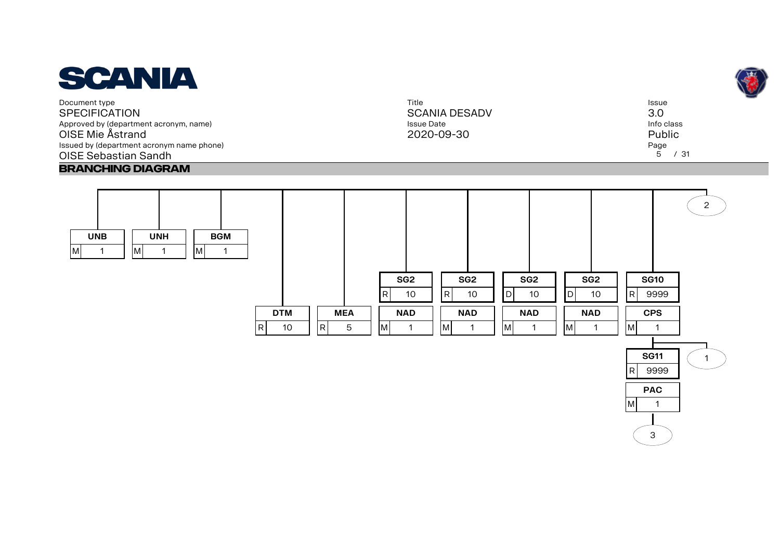

Title SCANIA DESADV Issue Date 2020-09-30



**UNB** M 1 **UNH** M 1 **BGM** M 1 **DTM** R 10 **MEA**  $R$  5 **SG2** R 10 **NAD** M 1 **SG2** R 10 **NAD**  $M$  1 **SG2** D 10 **NAD** M 1 **SG2**  $D$  10 **NAD** M 1 **SG10** R 9999 **CPS** M 1  $\mathcal{L}$ 



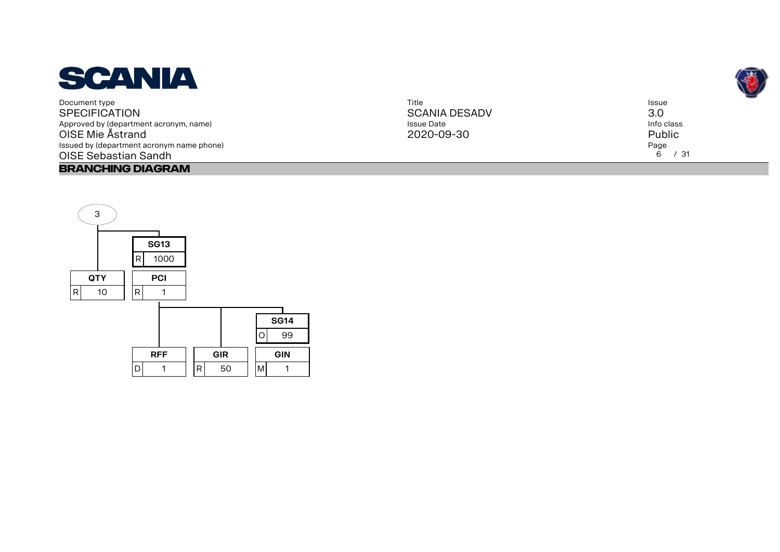

| Title                | <b>Issue</b> |
|----------------------|--------------|
| <b>SCANIA DESADV</b> | 3.0          |
| Issue Date           | Info class   |
| 2020-09-30           | Public       |
|                      | Page         |
|                      | 6 / 31       |



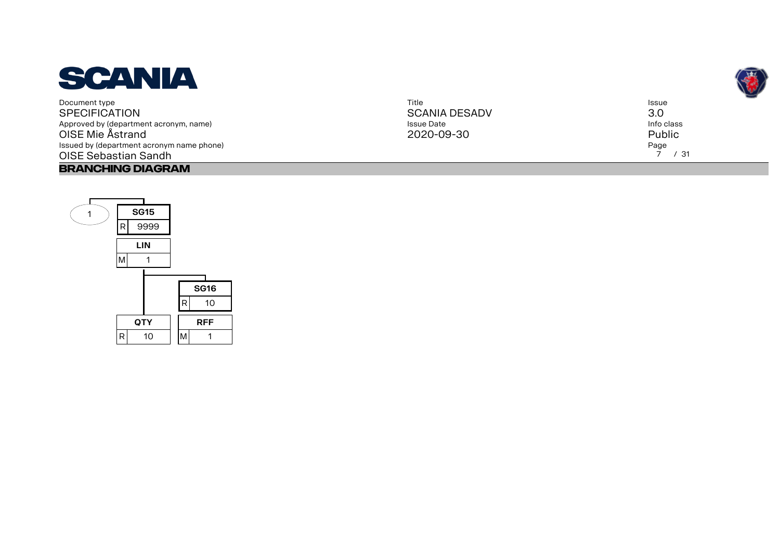

| Title                | Issue      |
|----------------------|------------|
| <b>SCANIA DESADV</b> | 3.0        |
| <b>Issue Date</b>    | Info class |
| 2020-09-30           | Public     |
|                      | Page       |
|                      | 7 / 31     |



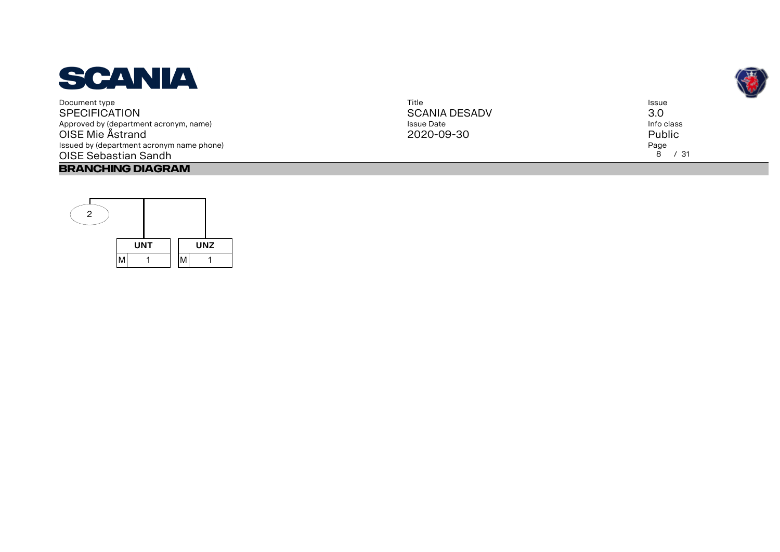

| Title                | Issue      |
|----------------------|------------|
| <b>SCANIA DESADV</b> | 3.0        |
| <b>Issue Date</b>    | Info class |
| 2020-09-30           | Public     |
|                      | Page       |
|                      | 8<br>/31   |
|                      |            |



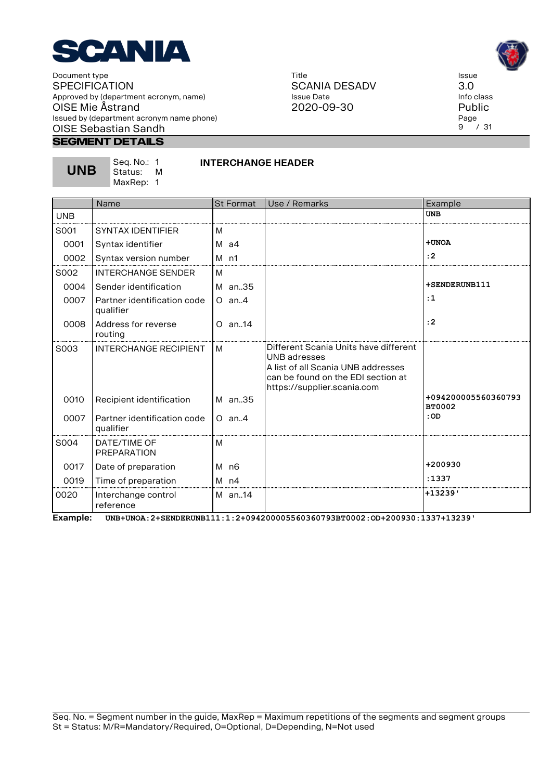

#### **Segment Details**

**UNB**

Seq. No.: 1 Status: M MaxRep: 1

#### **INTERCHANGE HEADER**

Title

Issue Date

|            | Name                                     | <b>St Format</b> | Use / Remarks                                                                                                                                                    | Example                              |
|------------|------------------------------------------|------------------|------------------------------------------------------------------------------------------------------------------------------------------------------------------|--------------------------------------|
| <b>UNB</b> |                                          |                  |                                                                                                                                                                  | <b>UNB</b>                           |
| S001       | <b>SYNTAX IDENTIFIER</b>                 | м                |                                                                                                                                                                  |                                      |
| 0001       | Syntax identifier                        | M a4             |                                                                                                                                                                  | +UNOA                                |
| 0002       | Syntax version number                    | $M$ n1           |                                                                                                                                                                  | : 2                                  |
| S002       | <b>INTERCHANGE SENDER</b>                | м                |                                                                                                                                                                  |                                      |
| 0004       | Sender identification                    | M an35           |                                                                                                                                                                  | +SENDERUNB111                        |
| 0007       | Partner identification code<br>qualifier | $O$ an. 4        |                                                                                                                                                                  | :1                                   |
| 0008       | Address for reverse<br>routing           | $O$ an. 14       |                                                                                                                                                                  | : 2                                  |
| S003       | <b>INTERCHANGE RECIPIENT</b>             | м                | Different Scania Units have different<br>UNB adresses<br>A list of all Scania UNB addresses<br>can be found on the EDI section at<br>https://supplier.scania.com |                                      |
| 0010       | Recipient identification                 | M an35           |                                                                                                                                                                  | +094200005560360793<br><b>BT0002</b> |
| 0007       | Partner identification code<br>qualifier | $O$ an. 4        |                                                                                                                                                                  | :OD                                  |
| S004       | DATF/TIME OF<br><b>PREPARATION</b>       | м                |                                                                                                                                                                  |                                      |
| 0017       | Date of preparation                      | M n6             |                                                                                                                                                                  | +200930                              |
| 0019       | Time of preparation                      | $M$ n4           |                                                                                                                                                                  | :1337                                |
| 0020       | Interchange control<br>reference         | M an14           |                                                                                                                                                                  | $+13239$                             |

**Example: UNB+UNOA:2+SENDERUNB111:1:2+094200005560360793BT0002:OD+200930:1337+13239'**





Issue 3.0 Info class Public Page  $9^{6}$  / 31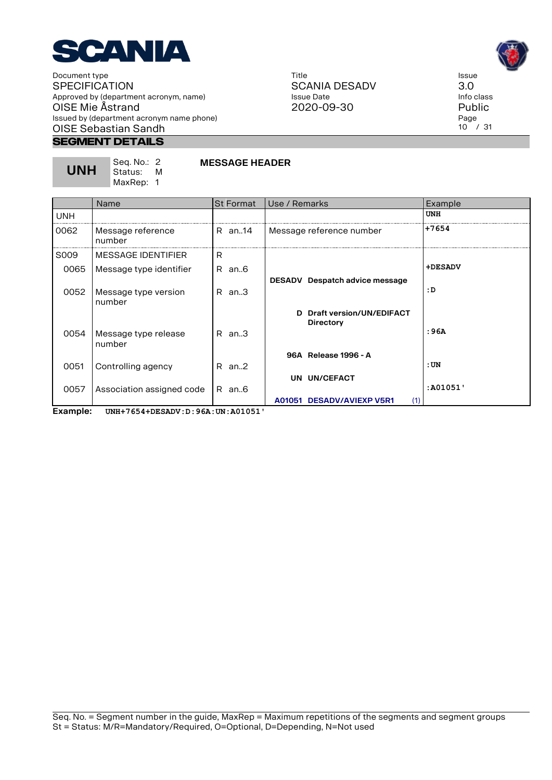

> Seq. No.: 2 Status: M MaxRep: 1

#### **Segment Details**

**UNH**

| Title         |
|---------------|
| SCANIA DESADV |
| Issue Date    |
| 2020-09-30    |



Issue 3.0 Info class Public Page  $10^{6}$  / 31

|            | Name                           | <b>St Format</b> | Use / Remarks                    | Example    |
|------------|--------------------------------|------------------|----------------------------------|------------|
| <b>UNH</b> |                                |                  |                                  | <b>UNH</b> |
| 0062       | Message reference<br>number    | R an14           | Message reference number         | $+7654$    |
| S009       | MESSAGE IDENTIFIER             | R                |                                  |            |
| 0065       | Message type identifier        | R an6            |                                  | +DESADV    |
|            |                                |                  | DESADV Despatch advice message   |            |
| 0052       | Message type version<br>number | $R$ an3          |                                  | : D        |
|            |                                |                  | D Draft version/UN/EDIFACT       |            |
|            |                                |                  | <b>Directory</b>                 | : 96A      |
| 0054       | Message type release<br>number | R an3            |                                  |            |
|            |                                |                  | 96A Release 1996 - A             |            |
| 0051       | Controlling agency             | $R$ an. $2$      |                                  | :UN        |
|            |                                |                  | UN UN/CEFACT                     |            |
| 0057       | Association assigned code      | R an6            |                                  | :A01051'   |
|            |                                |                  | A01051 DESADV/AVIEXP V5R1<br>(1) |            |

**MESSAGE HEADER**

**Example: UNH+7654+DESADV:D:96A:UN:A01051'**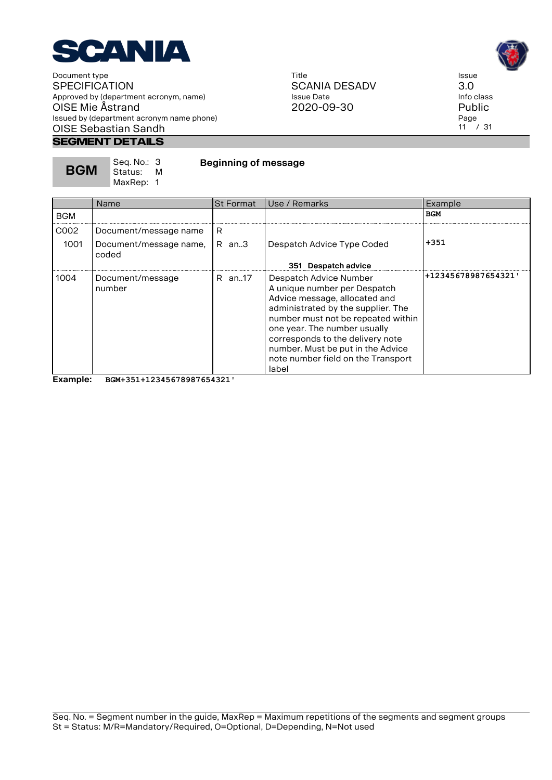

#### **Segment Details**

Title SCANIA DESADV Issue Date 2020-09-30

Issue 3.0 Info class

Public Page  $11$  / 31

Example

| <b>BGM</b> | Seq. No.: 3<br>Status: M<br>MaxRep: 1 | <b>Beginning of message</b> |                  |               |  |            |
|------------|---------------------------------------|-----------------------------|------------------|---------------|--|------------|
|            | <b>Name</b>                           |                             | <b>St Format</b> | Use / Remarks |  | Exa        |
| <b>BGM</b> |                                       |                             |                  |               |  | <b>BGM</b> |

| <b>BGM</b>   |                                                          |                  |                                                                                                                                                                                                                                                                                                                             | ---                 |
|--------------|----------------------------------------------------------|------------------|-----------------------------------------------------------------------------------------------------------------------------------------------------------------------------------------------------------------------------------------------------------------------------------------------------------------------------|---------------------|
| C002<br>1001 | Document/message name<br>Document/message name,<br>coded | R<br>$R$ an. $3$ | Despatch Advice Type Coded<br>351 Despatch advice                                                                                                                                                                                                                                                                           | $+351$              |
| 1004         | Document/message<br>number                               | R an17           | Despatch Advice Number<br>A unique number per Despatch<br>Advice message, allocated and<br>administrated by the supplier. The<br>number must not be repeated within<br>one year. The number usually<br>corresponds to the delivery note<br>number. Must be put in the Advice<br>note number field on the Transport<br>label | +12345678987654321' |

**Example: BGM+351+12345678987654321'**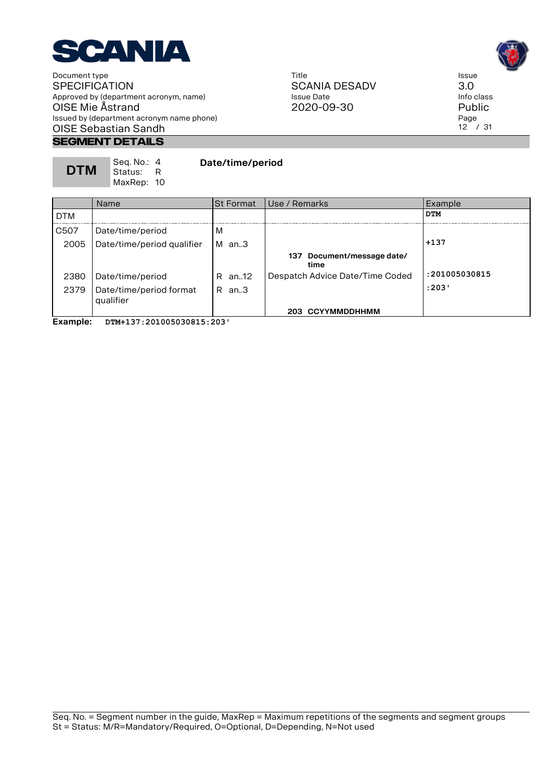

### **Segment Details**

| Seg. No.: 4<br><b>DTM</b><br>-Status: R<br>MaxRep: 10 |  | Date/time/period |
|-------------------------------------------------------|--|------------------|
|-------------------------------------------------------|--|------------------|

Title SCANIA DESADV Issue Date 2020-09-30



Issue 3.0 Info class Public Page  $12^{7}$  / 31

|            | <b>Name</b>                          | <b>St Format</b> | Use / Remarks                      | Example       |
|------------|--------------------------------------|------------------|------------------------------------|---------------|
| <b>DTM</b> |                                      |                  |                                    | <b>DTM</b>    |
| C507       | Date/time/period                     | M                |                                    |               |
| 2005       | Date/time/period qualifier           | M<br>an3         |                                    | $+137$        |
|            |                                      |                  | 137 Document/message date/<br>time |               |
| 2380       | Date/time/period                     | R an12           | Despatch Advice Date/Time Coded    | :201005030815 |
| 2379       | Date/time/period format<br>qualifier | $R$ an. $3$      |                                    | :203'         |
|            |                                      |                  | 203 CCYYMMDDHHMM                   |               |

**Example: DTM+137:201005030815:203'**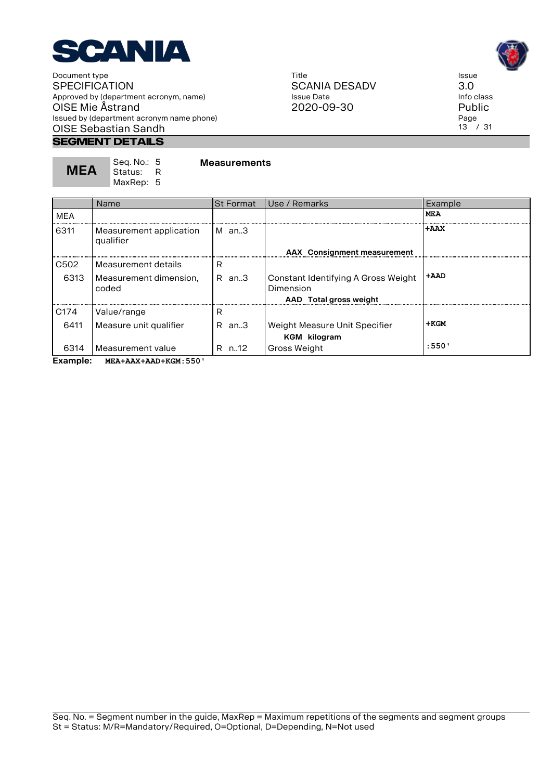

### **Segment Details**

| <b>MEA</b> | Seq. No.: 5<br>- Status: | <b>Measurements</b> |
|------------|--------------------------|---------------------|
|            | MaxRep: 5                |                     |

Title SCANIA DESADV Issue Date 2020-09-30



Issue 3.0 Info class Public Page 13 / 31

|                  | Name                                 | <b>St Format</b> | Use / Remarks                                                              | Example                  |
|------------------|--------------------------------------|------------------|----------------------------------------------------------------------------|--------------------------|
| <b>MEA</b>       |                                      |                  |                                                                            | MEA                      |
| 6311             | Measurement application<br>qualifier | IM an…3          | <b>AAX</b> Consignment measurement                                         | $+AAX$                   |
| C <sub>502</sub> | Measurement details                  | R                |                                                                            |                          |
| 6313             | Measurement dimension,<br>coded      | R an.3           | Constant Identifying A Gross Weight<br>Dimension<br>AAD Total gross weight | $+{\bf A}{\bf A}{\bf D}$ |
| C <sub>174</sub> | Value/range                          | R                |                                                                            |                          |
| 6411             | Measure unit qualifier               | $R$ an. $3$      | Weight Measure Unit Specifier<br><b>KGM</b> kilogram                       | $+KGM$                   |
| 6314             | Measurement value                    | R n.12           | <b>Gross Weight</b>                                                        | :550'                    |

**Example: MEA+AAX+AAD+KGM:550'**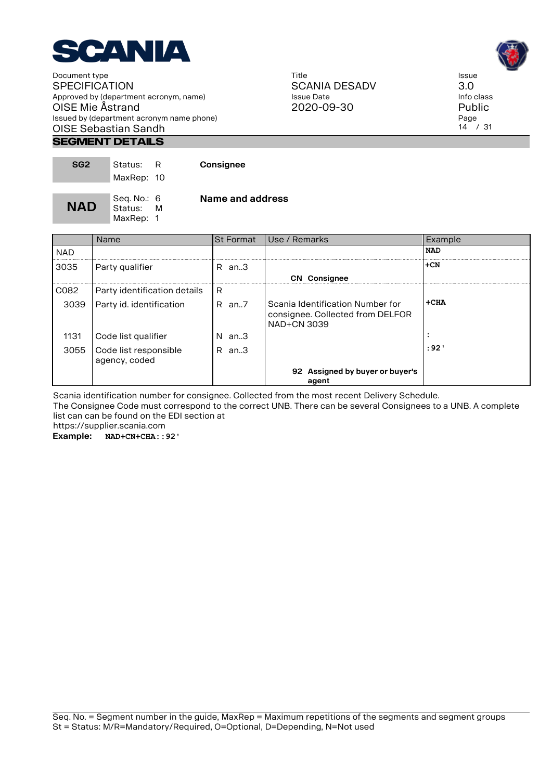

#### **Segment Details**

| SG <sub>2</sub> | Status:<br>MaxRep: 10               |   | Consignee        |
|-----------------|-------------------------------------|---|------------------|
| <b>NAD</b>      | Seg. No.: 6<br>Status:<br>MaxRep: 1 | M | Name and address |

|            | <b>Name</b>                            | <b>St Format</b> | Use / Remarks                                                                              | Example    |
|------------|----------------------------------------|------------------|--------------------------------------------------------------------------------------------|------------|
| <b>NAD</b> |                                        |                  |                                                                                            | <b>NAD</b> |
| 3035       | Party qualifier                        | R an.3           |                                                                                            | $+CN$      |
|            |                                        |                  | <b>CN</b> Consignee                                                                        |            |
| C082       | Party identification details           | R                |                                                                                            |            |
| 3039       | Party id. identification               | $R$ an7          | Scania Identification Number for<br>consignee. Collected from DELFOR<br><b>NAD+CN 3039</b> | $+CHA$     |
| 1131       | Code list qualifier                    | $N$ an3          |                                                                                            | $\cdot$    |
| 3055       | Code list responsible<br>agency, coded | R.<br>an3        |                                                                                            | : 92'      |
|            |                                        |                  | 92 Assigned by buyer or buyer's<br>agent                                                   |            |

Scania identification number for consignee. Collected from the most recent Delivery Schedule.

The Consignee Code must correspond to the correct UNB. There can be several Consignees to a UNB. A complete list can can be found on the EDI section at

https://supplier.scania.com

**Example: NAD+CN+CHA::92'**

Title SCANIA DESADV Issue Date 2020-09-30



Issue 3.0 Info class Public Page  $14^{7}$  / 31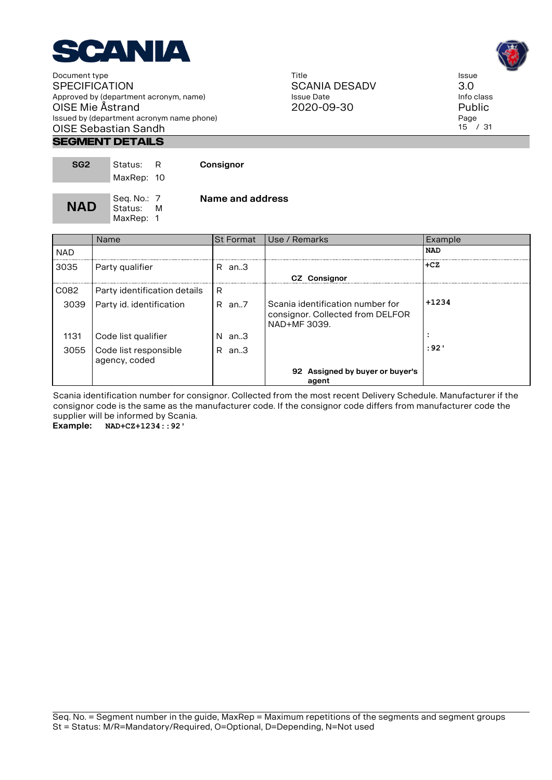

#### **Segment Details**

| SG <sub>2</sub> | Status:<br>MaxRep: 10               |   | Consignor        |
|-----------------|-------------------------------------|---|------------------|
| <b>NAD</b>      | Seg. No.: 7<br>Status:<br>MaxRep: 1 | м | Name and address |

Name St Format Use / Remarks Example NAD **NAD 1 Party qualifier R** an..3 **+CZ +CZ CZ Consignor**   $CO82$  Party identification details R 3039 Party id. identification  $\overline{R}$  an..7 Scania identification number for consignor. Collected from DELFOR NAD+MF 3039. **+1234** 1131 Code list qualifier | N an..3 3055 Code list responsible agency, coded R an..3 **:92' 92 Assigned by buyer or buyer's agent** 

Scania identification number for consignor. Collected from the most recent Delivery Schedule. Manufacturer if the consignor code is the same as the manufacturer code. If the consignor code differs from manufacturer code the supplier will be informed by Scania.

**Example: NAD+CZ+1234::92'**





Issue 3.0 Info class Public Page 15 / 31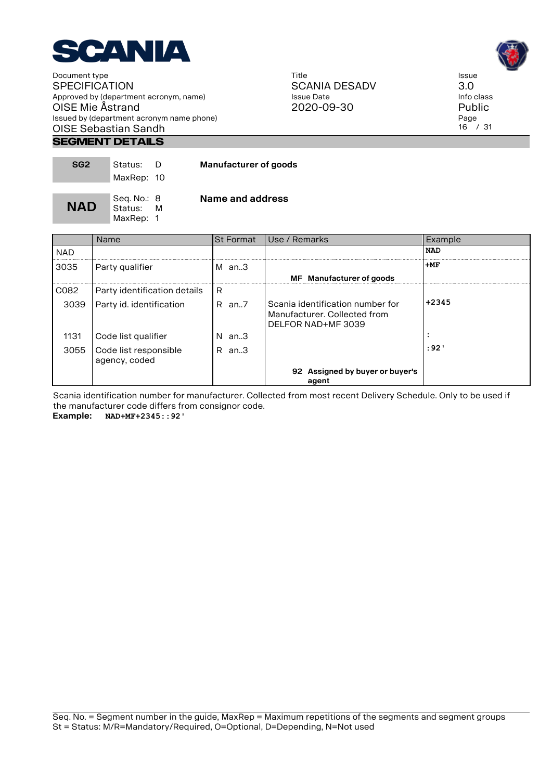

#### Title SCANIA DESADV Issue Date 2020-09-30



Issue 3.0 Info class Public Page 16 / 31

#### **Segment Details**

| SG <sub>2</sub> | Status:<br>MaxRep: 10               | D | <b>Manufacturer of goods</b> |
|-----------------|-------------------------------------|---|------------------------------|
| <b>NAD</b>      | Seq. No.: 8<br>Status:<br>MaxRep: 1 | M | Name and address             |

|            | Name                                   | <b>St Format</b> | Use / Remarks                                                                          | Example    |
|------------|----------------------------------------|------------------|----------------------------------------------------------------------------------------|------------|
| <b>NAD</b> |                                        |                  |                                                                                        | <b>NAD</b> |
| 3035       | Party qualifier                        | $M$ an3          |                                                                                        | $+MF$      |
|            |                                        |                  | MF Manufacturer of goods                                                               |            |
| C082       | Party identification details           | R                |                                                                                        |            |
| 3039       | Party id. identification               | $R$ an7          | Scania identification number for<br>Manufacturer, Collected from<br>DELFOR NAD+MF 3039 | $+2345$    |
| 1131       | Code list qualifier                    | N<br>an3         |                                                                                        | $\bullet$  |
| 3055       | Code list responsible<br>agency, coded | an3<br>R         |                                                                                        | : 92'      |
|            |                                        |                  | 92 Assigned by buyer or buyer's<br>agent                                               |            |

Scania identification number for manufacturer. Collected from most recent Delivery Schedule. Only to be used if the manufacturer code differs from consignor code.

**Example: NAD+MF+2345::92'**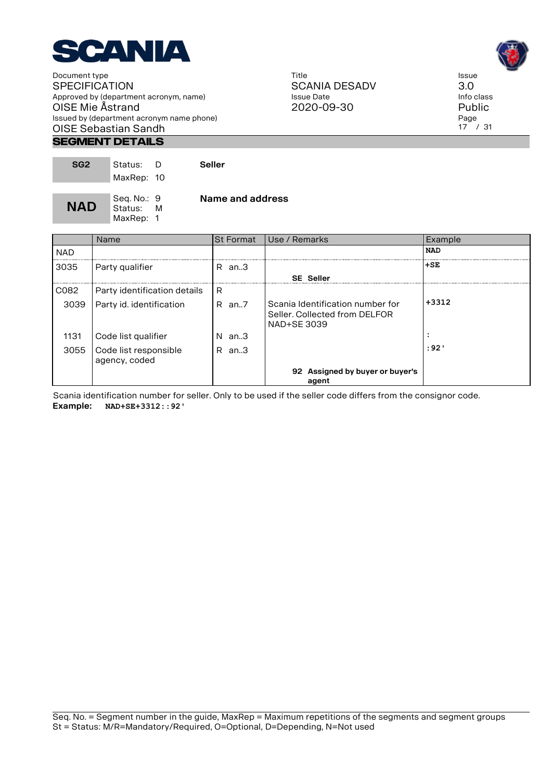

#### **Segment Details**

| SG <sub>2</sub> | Status: D<br>MaxRep: 10               | <b>Seller</b>    |
|-----------------|---------------------------------------|------------------|
| <b>NAD</b>      | Seq. No.: 9<br>Status: M<br>MaxRep: 1 | Name and address |

|            | Name                                   |             | <b>St Format</b> I Use / Remarks                                                 | Example    |
|------------|----------------------------------------|-------------|----------------------------------------------------------------------------------|------------|
| <b>NAD</b> |                                        |             |                                                                                  | <b>NAD</b> |
| 3035       | Party qualifier                        | $R$ an. $3$ |                                                                                  | $+SE$      |
|            |                                        |             | <b>SE Seller</b>                                                                 |            |
| C082       | Party identification details           | R           |                                                                                  |            |
| 3039       | Party id. identification               | $R$ an. $7$ | Scania Identification number for<br>Seller, Collected from DELFOR<br>NAD+SE 3039 | $+3312$    |
| 1131       | Code list qualifier                    | $N$ an3     |                                                                                  | $\bullet$  |
| 3055       | Code list responsible<br>agency, coded | R<br>an3    |                                                                                  | : 92'      |
|            |                                        |             | 92 Assigned by buyer or buyer's<br>agent                                         |            |

Scania identification number for seller. Only to be used if the seller code differs from the consignor code. **Example: NAD+SE+3312::92'**

Title SCANIA DESADV Issue Date 2020-09-30



Issue 3.0 Info class Public Page 17 / 31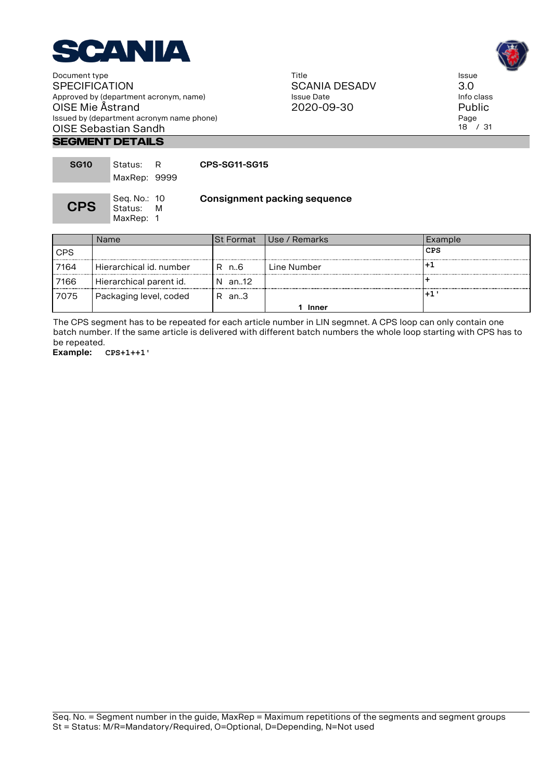

Title SCANIA DESADV Issue Date 2020-09-30



Issue 3.0 Info class Public Page 18 / 31

#### **Segment Details**

| <b>SG10</b> | Status: R<br>MaxRep: 9999              | CPS-SG11-SG15                       |
|-------------|----------------------------------------|-------------------------------------|
| <b>CPS</b>  | Seg. No.: 10<br>Status: M<br>MaxRep: 1 | <b>Consignment packing sequence</b> |

|            | Name                    | ISt Format | l Use / Remarks | Example |
|------------|-------------------------|------------|-----------------|---------|
| <b>CPS</b> |                         |            |                 | CPS     |
| 7164       | Hierarchical id. number | R n6       | Line Number     |         |
| 7166       | Hierarchical parent id. | N an12     |                 |         |
| 7075       | Packaging level, coded  | R an.3     |                 |         |
|            |                         |            | Inner           |         |

The CPS segment has to be repeated for each article number in LIN segmnet. A CPS loop can only contain one batch number. If the same article is delivered with different batch numbers the whole loop starting with CPS has to be repeated.

**Example: CPS+1++1'**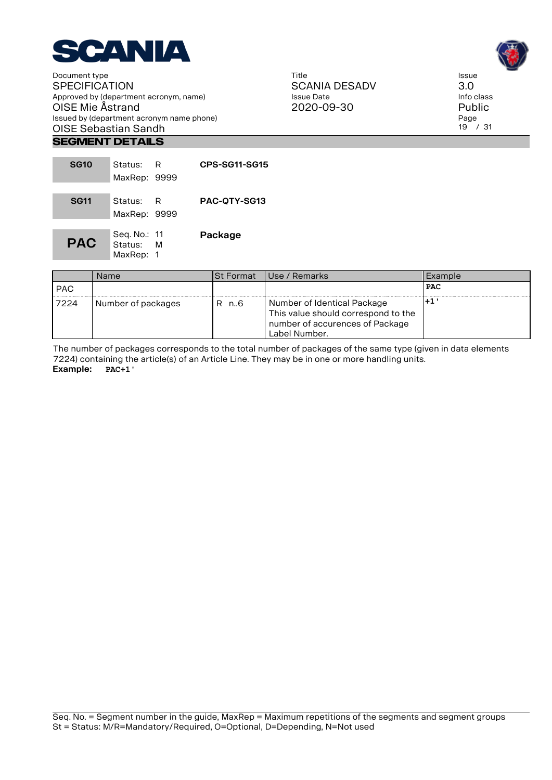

Title SCANIA DESADV Issue Date 2020-09-30

Issue 3.0 Info class Public Page 19 / 31

### **Segment Details**

| <b>SG10</b> | Status:                              | R | CPS-SG11-SG15 |
|-------------|--------------------------------------|---|---------------|
|             | MaxRep: 9999                         |   |               |
| <b>SG11</b> | Status:<br>MaxRep: 9999              | R | PAC-OTY-SG13  |
| <b>PAC</b>  | Seg. No.: 11<br>Status:<br>MaxRep: 1 | м | Package       |

|            | Name               | ISt Format | l Use / Remarks                                                                                                        | l Example  |
|------------|--------------------|------------|------------------------------------------------------------------------------------------------------------------------|------------|
| <b>PAC</b> |                    |            |                                                                                                                        | <b>PAC</b> |
| 7224       | Number of packages | R n6       | Number of Identical Package<br>This value should correspond to the<br>number of accurences of Package<br>Label Number. |            |

The number of packages corresponds to the total number of packages of the same type (given in data elements 7224) containing the article(s) of an Article Line. They may be in one or more handling units. **Example: PAC+1'**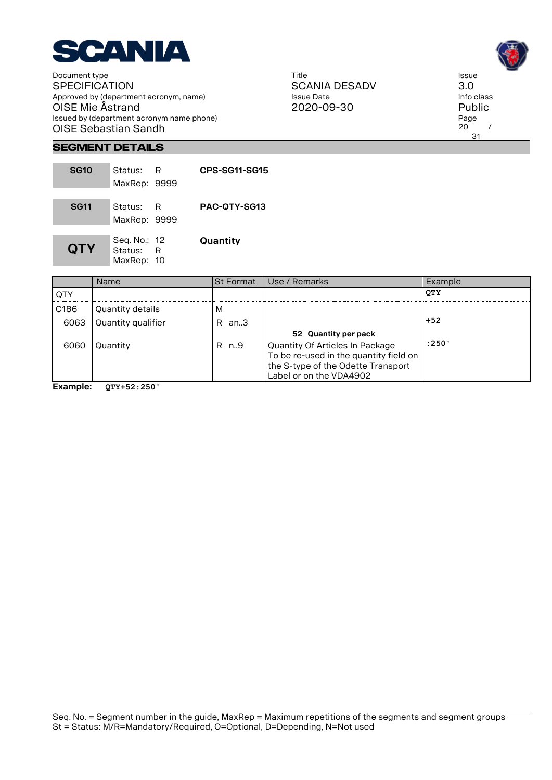

Title SCANIA DESADV Issue Date 2020-09-30



Issue 3.0

Page  $20$  / 31

**Segment Details**

| <b>SG10</b> | Status: __<br>MaxRep: 9999            | R | CPS-SG11-SG15       |
|-------------|---------------------------------------|---|---------------------|
| <b>SG11</b> | Status:<br>MaxRep: 9999               | R | <b>PAC-OTY-SG13</b> |
| <b>QTY</b>  | Seq. No.: 12<br>Status:<br>MaxRep: 10 | R | Quantity            |

|                  | <b>Name</b>        | <b>St Format</b> | Use / Remarks                          | Example    |
|------------------|--------------------|------------------|----------------------------------------|------------|
| <b>QTY</b>       |                    |                  |                                        | <b>QTY</b> |
| C <sub>186</sub> | Quantity details   | M                |                                        |            |
| 6063             | Quantity qualifier | R an.3           |                                        | $+52$      |
|                  |                    |                  | 52 Quantity per pack                   |            |
| 6060             | Quantity           | R n9             | <b>Quantity Of Articles In Package</b> | :250'      |
|                  |                    |                  | To be re-used in the quantity field on |            |
|                  |                    |                  | the S-type of the Odette Transport     |            |
|                  |                    |                  | Label or on the VDA4902                |            |

**Example: QTY+52:250'**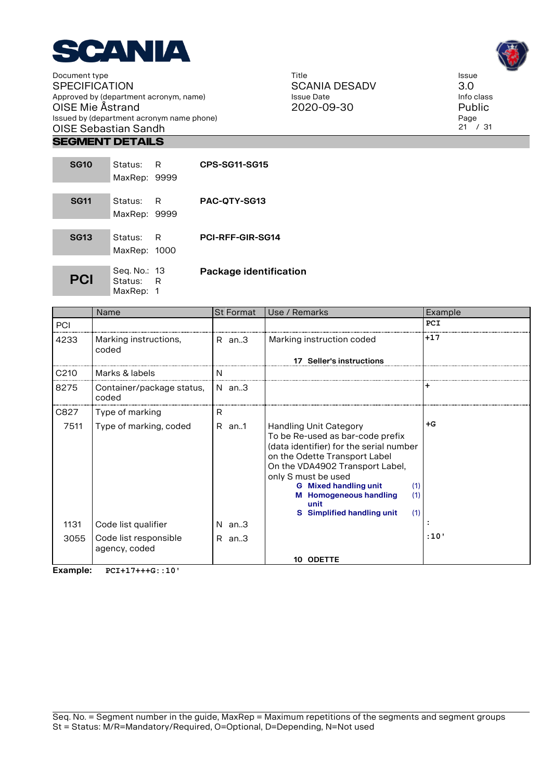

#### **Segment Details**

| <b>SG10</b> | Status:<br>MaxRep: 9999                | R   | <b>CPS-SG11-SG15</b>    |
|-------------|----------------------------------------|-----|-------------------------|
| <b>SG11</b> | Status: I<br>MaxRep: 9999              | – R | PAC-OTY-SG13            |
| <b>SG13</b> | Status:<br>MaxRep: 1000                | – R | <b>PCI-RFF-GIR-SG14</b> |
| <b>PCI</b>  | Seg. No.: 13<br>Status: R<br>MaxRep: 1 |     | Package identification  |

Name St Format Use / Remarks Example PCI **PCI** 4233 Marking instructions, coded R an..3 Marking instruction coded **+17 17 Seller's instructions**  C210 | Marks & labels | N 8275 | Container/package status, coded N an..3 **+** C827 Type of marking R 7511  $\vert$  Type of marking, coded  $\vert$  R an..1  $\vert$  Handling Unit Category To be Re-used as bar-code prefix (data identifier) for the serial number on the Odette Transport Label On the VDA4902 Transport Label, only S must be used **+G G Mixed handling unit** (1) **M Homogeneous handling** (1) **unit S Simplified handling unit** (1) 1131 Code list qualifier **N** an..3 3055 Code list responsible agency, coded R an..3 **:10' 10 ODETTE** 

**Example: PCI+17+++G::10'**

Title SCANIA DESADV Issue Date 2020-09-30



Issue 3.0 Info class Public Page  $21$  / 31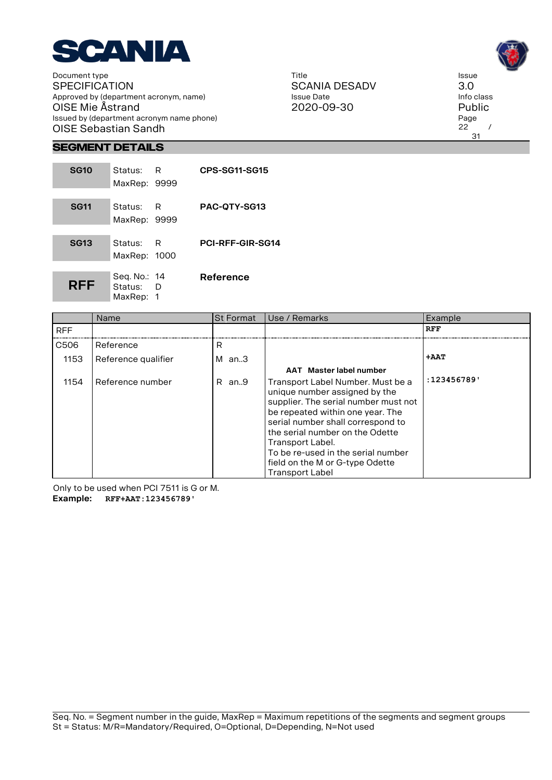

Title SCANIA DESADV Issue Date 2020-09-30



31

#### **Segment Details**

| <b>SG10</b> | Status: R<br>MaxRep: 9999              |     | CPS-SG11-SG15           |
|-------------|----------------------------------------|-----|-------------------------|
| <b>SG11</b> | Status:<br>MaxRep: 9999                | – R | PAC-OTY-SG13            |
| <b>SG13</b> | Status:<br>MaxRep: 1000                | R   | <b>PCI-RFF-GIR-SG14</b> |
| <b>RFF</b>  | Seg. No.: 14<br>Status: D<br>MaxRep: 1 |     | Reference               |

|            | Name                | <b>St Format</b> | Use / Remarks                                                                                                                                                                                                                                                                                                                                 | Example    |
|------------|---------------------|------------------|-----------------------------------------------------------------------------------------------------------------------------------------------------------------------------------------------------------------------------------------------------------------------------------------------------------------------------------------------|------------|
| <b>RFF</b> |                     |                  |                                                                                                                                                                                                                                                                                                                                               | <b>RFF</b> |
| C506       | Reference           | R                |                                                                                                                                                                                                                                                                                                                                               |            |
| 1153       | Reference qualifier | м<br>an3         |                                                                                                                                                                                                                                                                                                                                               | +AAT       |
|            |                     |                  | AAT Master label number                                                                                                                                                                                                                                                                                                                       |            |
| 1154       | Reference number    | R an9            | Transport Label Number. Must be a<br>unique number assigned by the<br>supplier. The serial number must not<br>be repeated within one year. The<br>serial number shall correspond to<br>the serial number on the Odette<br>Transport Label.<br>To be re-used in the serial number<br>field on the M or G-type Odette<br><b>Transport Label</b> | :123456789 |

Only to be used when PCI 7511 is G or M. **Example: RFF+AAT:123456789'**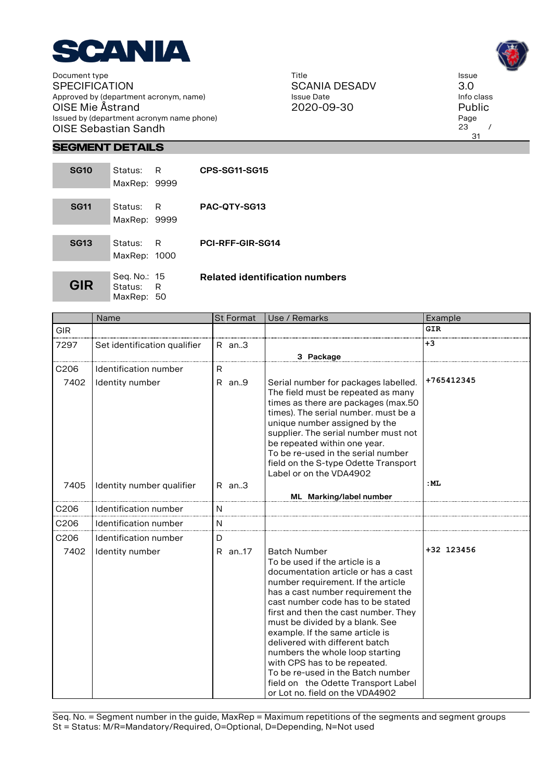

Title SCANIA DESADV Issue Date 2020-09-30



#### **Segment Details**

| <b>SG10</b> | Status:<br>MaxRep: 9999                 | R   | <b>CPS-SG11-SG15</b>                  |
|-------------|-----------------------------------------|-----|---------------------------------------|
| <b>SG11</b> | Status: R<br>MaxRep: 9999               |     | PAC-QTY-SG13                          |
| <b>SG13</b> | Status:<br>MaxRep: 1000                 | – R | <b>PCI-RFF-GIR-SG14</b>               |
| GIR         | Seq. No.: 15<br>Status: R<br>MaxRep: 50 |     | <b>Related identification numbers</b> |

|                          | Name                                     | <b>St Format</b> | Use / Remarks                                                                                                                                                                                                                                                                                                                                                                                                                                                                                                                                  | Example    |
|--------------------------|------------------------------------------|------------------|------------------------------------------------------------------------------------------------------------------------------------------------------------------------------------------------------------------------------------------------------------------------------------------------------------------------------------------------------------------------------------------------------------------------------------------------------------------------------------------------------------------------------------------------|------------|
| <b>GIR</b>               |                                          |                  |                                                                                                                                                                                                                                                                                                                                                                                                                                                                                                                                                | <b>GIR</b> |
| 7297                     | Set identification qualifier             | $R$ an. $3$      | 3 Package                                                                                                                                                                                                                                                                                                                                                                                                                                                                                                                                      | +3         |
| C <sub>206</sub><br>7402 | Identification number<br>Identity number | R<br>$R$ an $9$  | Serial number for packages labelled.<br>The field must be repeated as many<br>times as there are packages (max.50<br>times). The serial number, must be a<br>unique number assigned by the<br>supplier. The serial number must not<br>be repeated within one year.<br>To be re-used in the serial number<br>field on the S-type Odette Transport<br>Label or on the VDA4902                                                                                                                                                                    | +765412345 |
| 7405                     | Identity number qualifier                | $R$ an. $3$      | ML Marking/label number                                                                                                                                                                                                                                                                                                                                                                                                                                                                                                                        | :ML        |
| C206                     | <b>Identification number</b>             | N                |                                                                                                                                                                                                                                                                                                                                                                                                                                                                                                                                                |            |
| C <sub>206</sub>         | Identification number                    | N                |                                                                                                                                                                                                                                                                                                                                                                                                                                                                                                                                                |            |
| C206<br>7402             | Identification number<br>Identity number | D<br>R an17      | <b>Batch Number</b><br>To be used if the article is a<br>documentation article or has a cast<br>number requirement. If the article<br>has a cast number requirement the<br>cast number code has to be stated<br>first and then the cast number. They<br>must be divided by a blank. See<br>example. If the same article is<br>delivered with different batch<br>numbers the whole loop starting<br>with CPS has to be repeated.<br>To be re-used in the Batch number<br>field on the Odette Transport Label<br>or Lot no. field on the VDA4902 | +32 123456 |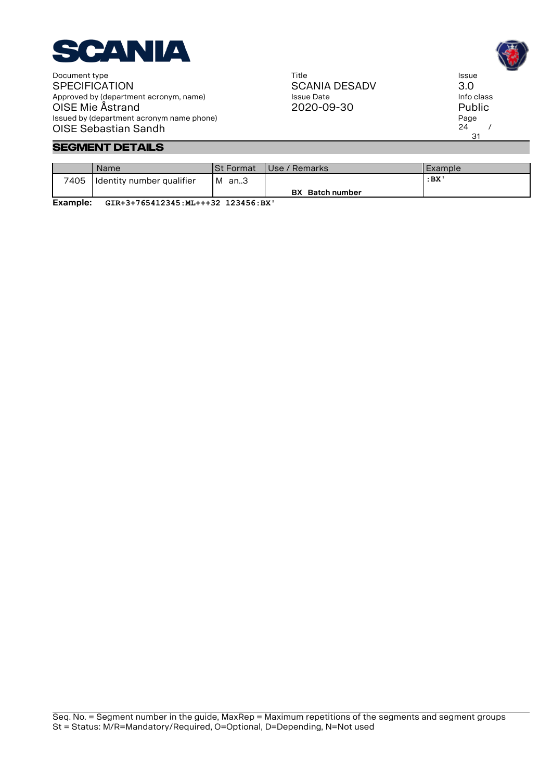

#### **Segment Details**

|      | Name                      | ISt Format | Use / Remarks          | l Example |
|------|---------------------------|------------|------------------------|-----------|
| 7405 | Identity number qualifier | м<br>an3   |                        | :BX       |
|      |                           |            | <b>BX</b> Batch number |           |

**Example: GIR+3+765412345:ML+++32 123456:BX'**

Title SCANIA DESADV Issue Date 2020-09-30

Issue 3.0 Info class Public Page  $24$  / 31

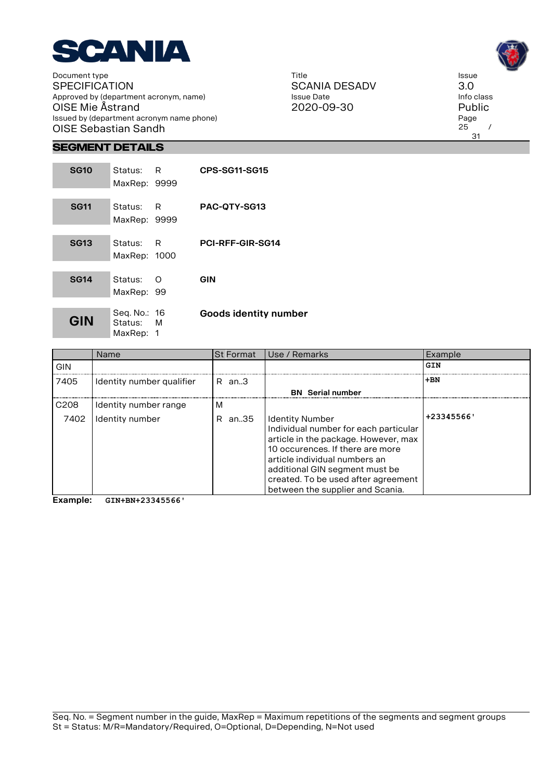

Title SCANIA DESADV Issue Date 2020-09-30



**Segment Details**

| <b>SG10</b> | Status: R<br>MaxRep: 9999              |     | <b>CPS-SG11-SG15</b>  |
|-------------|----------------------------------------|-----|-----------------------|
| <b>SG11</b> | Status:<br>MaxRep: 9999                | - R | PAC-OTY-SG13          |
| <b>SG13</b> | Status: R<br>MaxRep: 1000              |     | PCI-RFF-GIR-SG14      |
| <b>SG14</b> | Status:<br>MaxRep: 99                  | ∩   | GIN                   |
| GIN         | Seg. No.: 16<br>Status: M<br>MaxRep: 1 |     | Goods identity number |

|                  | <b>Name</b>               | <b>St Format</b> | Use / Remarks                                                                                                                                                                                                                                                                             | Example    |
|------------------|---------------------------|------------------|-------------------------------------------------------------------------------------------------------------------------------------------------------------------------------------------------------------------------------------------------------------------------------------------|------------|
| <b>GIN</b>       |                           |                  |                                                                                                                                                                                                                                                                                           | GIN        |
| 7405             | Identity number qualifier | $R$ an. $3$      |                                                                                                                                                                                                                                                                                           | $+BN$      |
|                  |                           |                  | <b>BN</b> Serial number                                                                                                                                                                                                                                                                   |            |
| C <sub>208</sub> | Identity number range     | м                |                                                                                                                                                                                                                                                                                           |            |
| 7402             | Identity number           | an35<br>R.       | <b>Identity Number</b><br>Individual number for each particular<br>article in the package. However, max<br>10 occurences. If there are more<br>article individual numbers an<br>additional GIN segment must be<br>created. To be used after agreement<br>between the supplier and Scania. | +23345566' |

**Example: GIN+BN+23345566'**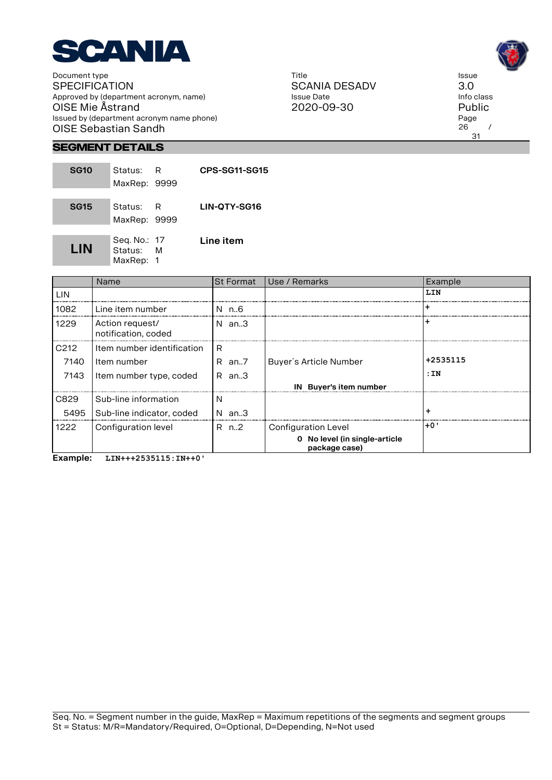

Title SCANIA DESADV Issue Date 2020-09-30



Issue 3.0

Page  $26$  / 31

**Segment Details**

| <b>SG10</b> | Status:<br>MaxRep: 9999              | R | CPS-SG11-SG15       |
|-------------|--------------------------------------|---|---------------------|
| <b>SG15</b> | Status:<br>MaxRep: 9999              | R | <b>LIN-OTY-SG16</b> |
| LIN         | Seq. No.: 17<br>Status:<br>MaxRep: 1 | M | Line item           |

|                  | <b>Name</b>                            | <b>St Format</b> | Use / Remarks                                  | Example  |
|------------------|----------------------------------------|------------------|------------------------------------------------|----------|
| <b>LIN</b>       |                                        |                  |                                                | LIN      |
| 1082             | Line item number                       | N n.6            |                                                |          |
| 1229             | Action request/<br>notification, coded | N an…3           |                                                |          |
| C <sub>212</sub> | Item number identification             | R                |                                                |          |
| 7140             | Item number                            | R an7            | Buyer's Article Number                         | +2535115 |
| 7143             | Item number type, coded                | R an.3           |                                                | :IN      |
|                  |                                        |                  | IN Buyer's item number                         |          |
| C829             | Sub-line information                   | N                |                                                |          |
| 5495             | Sub-line indicator, coded              | N an.3           |                                                | $\div$   |
| 1222             | Configuration level                    | R n2             | Configuration Level                            | +0'      |
|                  |                                        |                  | 0 No level (in single-article<br>package case) |          |

**Example: LIN+++2535115:IN++0'**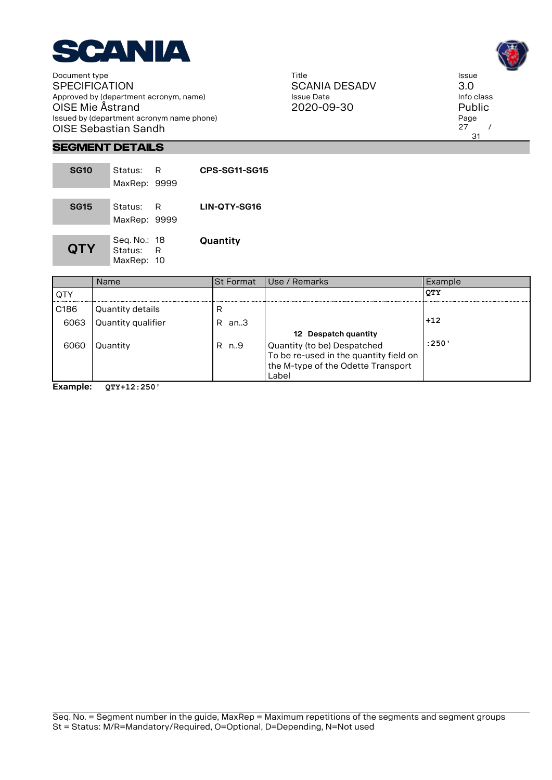

Title SCANIA DESADV Issue Date 2020-09-30



Issue 3.0

Page  $27$  / 31

### **Segment Details**

| <b>SG10</b> | Status: .<br>MaxRep: 9999               | R | CPS-SG11-SG15 |
|-------------|-----------------------------------------|---|---------------|
| <b>SG15</b> | Status:<br>MaxRep: 9999                 | R | LIN-QTY-SG16  |
| <b>QTY</b>  | Seg. No.: 18<br>Status: R<br>MaxRep: 10 |   | Quantity      |

|                  | <b>Name</b>        | <b>St Format</b> | l Use / Remarks                        | Example    |
|------------------|--------------------|------------------|----------------------------------------|------------|
| <b>QTY</b>       |                    |                  |                                        | <b>OTY</b> |
| C <sub>186</sub> | Quantity details   | R                |                                        |            |
| 6063             | Quantity qualifier | R.<br>an3        |                                        | $+12$      |
|                  |                    |                  | 12 Despatch quantity                   |            |
| 6060             | Quantity           | R n9             | Quantity (to be) Despatched            | :250'      |
|                  |                    |                  | To be re-used in the quantity field on |            |
|                  |                    |                  | the M-type of the Odette Transport     |            |
|                  |                    |                  | Label                                  |            |

**Example: QTY+12:250'**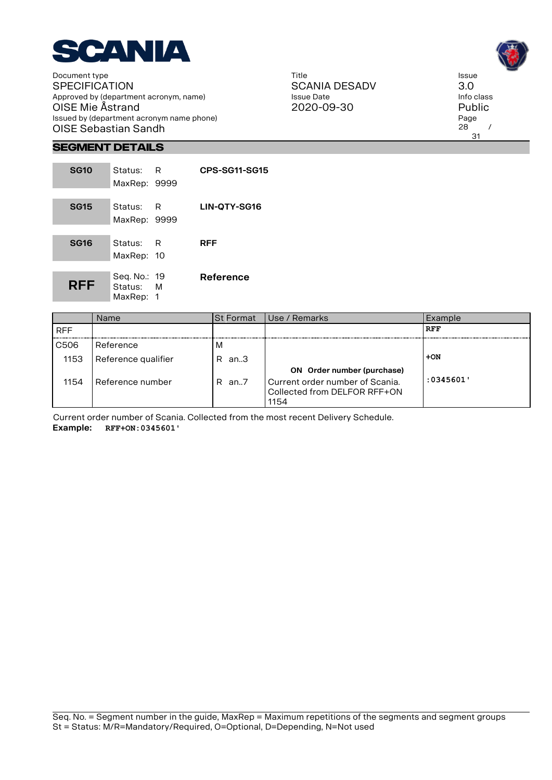

Title SCANIA DESADV Issue Date 2020-09-30



3.0

 $28$  / 31

**Segment Details**

| <b>SG10</b> | Status:<br>MaxRep: 9999                | R | CPS-SG11-SG15 |
|-------------|----------------------------------------|---|---------------|
| <b>SG15</b> | Status:<br>MaxRep: 9999                | R | LIN-QTY-SG16  |
| <b>SG16</b> | Status:<br>MaxRep: 10                  | R | <b>RFF</b>    |
| <b>RFF</b>  | Seq. No.: 19<br>Status: M<br>MaxRep: 1 |   | Reference     |

| :0345601' |
|-----------|
|           |
|           |

Current order number of Scania. Collected from the most recent Delivery Schedule. **Example: RFF+ON:0345601'**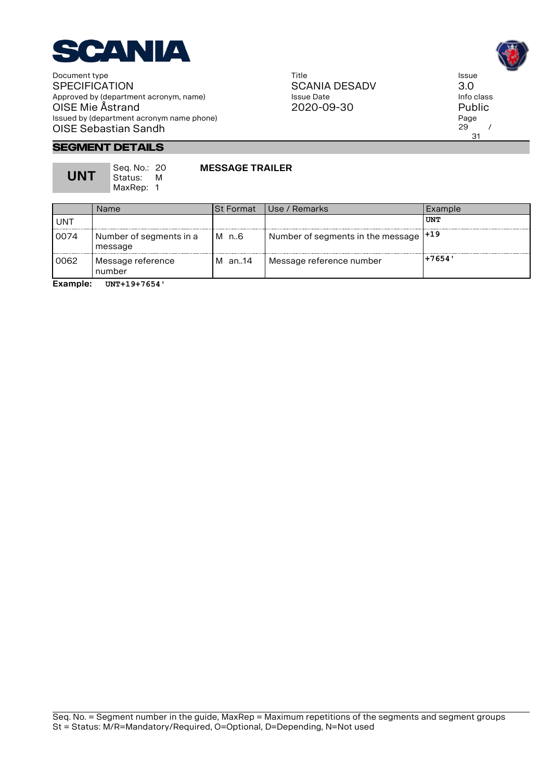

Title SCANIA DESADV Issue Date 2020-09-30



3.0

 $29$  / 31

**Segment Details**

**UNT**

Seq. No.: 20 Status: M MaxRep: 1

#### **MESSAGE TRAILER**

|      | Name                               | ISt Format | l Use / Remarks                        | Example |
|------|------------------------------------|------------|----------------------------------------|---------|
| UNT  |                                    |            |                                        | UNT     |
| 0074 | Number of segments in a<br>message | M n.6      | Number of segments in the message  +19 |         |
| 0062 | Message reference<br>number        | an14<br>M  | Message reference number               | +7654'  |
|      |                                    |            |                                        |         |

**Example: UNT+19+7654'**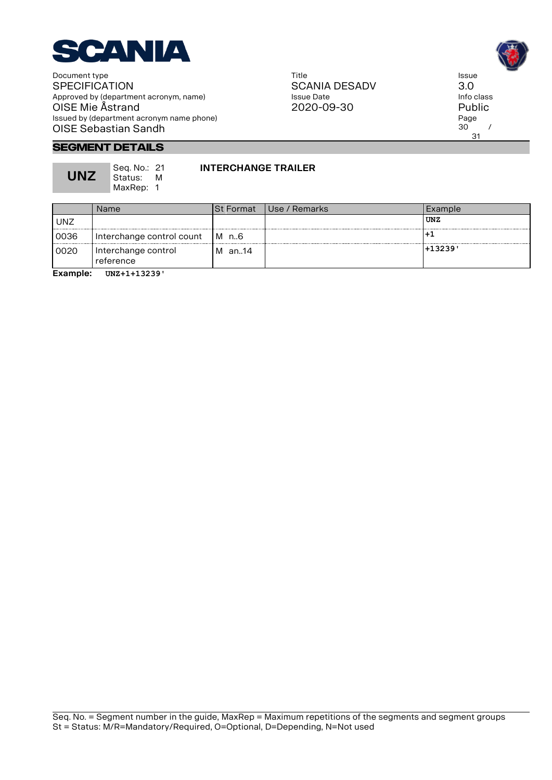

Title SCANIA DESADV Issue Date 2020-09-30

Issue 3.0 Info class Public Page  $30^\circ$  / 31

#### **Segment Details**

**UNZ**

Seq. No.: 21 Status: M MaxRep: 1

#### **INTERCHANGE TRAILER**

|            | Name                             | ISt Format | l Use / Remarks | Example  |
|------------|----------------------------------|------------|-----------------|----------|
| <b>UNZ</b> |                                  |            |                 | UNZ      |
| 0036       | Interchange control count        | IM n.6     |                 |          |
| 0020       | Interchange control<br>reference | l M⊥an14   |                 | ' 13239+ |

**Example: UNZ+1+13239'**